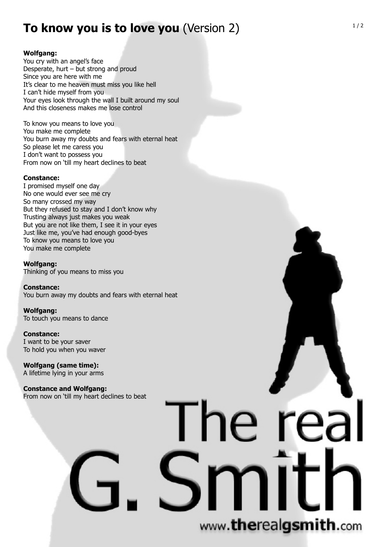# **To know you is to love you** (Version 2)

## **Wolfgang:**

You cry with an angel's face Desperate, hurt – but strong and proud Since you are here with me It's clear to me heaven must miss you like hell I can't hide myself from you Your eyes look through the wall I built around my soul And this closeness makes me lose control

To know you means to love you You make me complete You burn away my doubts and fears with eternal heat So please let me caress you I don't want to possess you From now on 'till my heart declines to beat

### **Constance:**

I promised myself one day No one would ever see me cry So many crossed my way But they refused to stay and I don't know why Trusting always just makes you weak But you are not like them, I see it in your eyes Just like me, you've had enough good-byes To know you means to love you You make me complete

**Wolfgang:** Thinking of you means to miss you

**Constance:** You burn away my doubts and fears with eternal heat

**Wolfgang:** To touch you means to dance

**Constance:** I want to be your saver To hold you when you waver

**Wolfgang (same time):** A lifetime lying in your arms

**Constance and Wolfgang:** From now on 'till my heart declines to beat

# www.therealgsmith.com